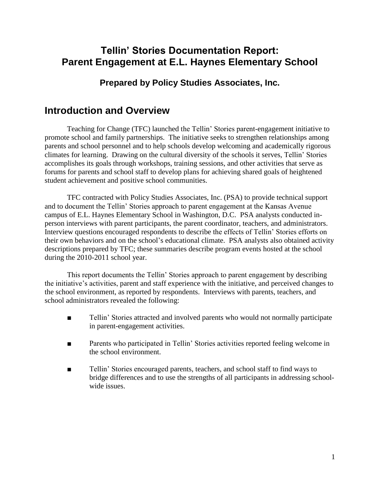## **Tellin' Stories Documentation Report: Parent Engagement at E.L. Haynes Elementary School**

### **Prepared by Policy Studies Associates, Inc.**

## **Introduction and Overview**

Teaching for Change (TFC) launched the Tellin' Stories parent-engagement initiative to promote school and family partnerships. The initiative seeks to strengthen relationships among parents and school personnel and to help schools develop welcoming and academically rigorous climates for learning. Drawing on the cultural diversity of the schools it serves, Tellin' Stories accomplishes its goals through workshops, training sessions, and other activities that serve as forums for parents and school staff to develop plans for achieving shared goals of heightened student achievement and positive school communities.

TFC contracted with Policy Studies Associates, Inc. (PSA) to provide technical support and to document the Tellin' Stories approach to parent engagement at the Kansas Avenue campus of E.L. Haynes Elementary School in Washington, D.C. PSA analysts conducted inperson interviews with parent participants, the parent coordinator, teachers, and administrators. Interview questions encouraged respondents to describe the effects of Tellin' Stories efforts on their own behaviors and on the school's educational climate. PSA analysts also obtained activity descriptions prepared by TFC; these summaries describe program events hosted at the school during the 2010-2011 school year.

This report documents the Tellin' Stories approach to parent engagement by describing the initiative's activities, parent and staff experience with the initiative, and perceived changes to the school environment, as reported by respondents. Interviews with parents, teachers, and school administrators revealed the following:

- Tellin' Stories attracted and involved parents who would not normally participate in parent-engagement activities.
- Parents who participated in Tellin' Stories activities reported feeling welcome in the school environment.
- Tellin' Stories encouraged parents, teachers, and school staff to find ways to bridge differences and to use the strengths of all participants in addressing schoolwide issues.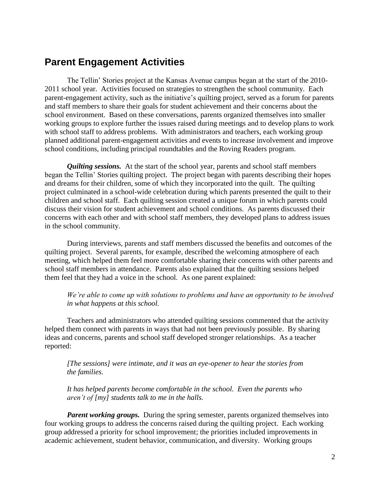## **Parent Engagement Activities**

The Tellin' Stories project at the Kansas Avenue campus began at the start of the 2010- 2011 school year. Activities focused on strategies to strengthen the school community. Each parent-engagement activity, such as the initiative's quilting project, served as a forum for parents and staff members to share their goals for student achievement and their concerns about the school environment. Based on these conversations, parents organized themselves into smaller working groups to explore further the issues raised during meetings and to develop plans to work with school staff to address problems. With administrators and teachers, each working group planned additional parent-engagement activities and events to increase involvement and improve school conditions, including principal roundtables and the Roving Readers program.

*Quilting sessions.* At the start of the school year, parents and school staff members began the Tellin' Stories quilting project. The project began with parents describing their hopes and dreams for their children, some of which they incorporated into the quilt. The quilting project culminated in a school-wide celebration during which parents presented the quilt to their children and school staff. Each quilting session created a unique forum in which parents could discuss their vision for student achievement and school conditions. As parents discussed their concerns with each other and with school staff members, they developed plans to address issues in the school community.

During interviews, parents and staff members discussed the benefits and outcomes of the quilting project. Several parents, for example, described the welcoming atmosphere of each meeting, which helped them feel more comfortable sharing their concerns with other parents and school staff members in attendance. Parents also explained that the quilting sessions helped them feel that they had a voice in the school. As one parent explained:

#### *We're able to come up with solutions to problems and have an opportunity to be involved in what happens at this school.*

Teachers and administrators who attended quilting sessions commented that the activity helped them connect with parents in ways that had not been previously possible. By sharing ideas and concerns, parents and school staff developed stronger relationships. As a teacher reported:

*[The sessions] were intimate, and it was an eye-opener to hear the stories from the families.* 

*It has helped parents become comfortable in the school. Even the parents who aren't of [my] students talk to me in the halls.*

*Parent working groups.* During the spring semester, parents organized themselves into four working groups to address the concerns raised during the quilting project. Each working group addressed a priority for school improvement; the priorities included improvements in academic achievement, student behavior, communication, and diversity. Working groups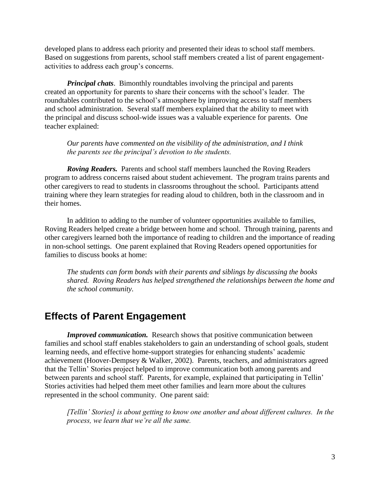developed plans to address each priority and presented their ideas to school staff members. Based on suggestions from parents, school staff members created a list of parent engagementactivities to address each group's concerns.

*Principal chats*. Bimonthly roundtables involving the principal and parents created an opportunity for parents to share their concerns with the school's leader. The roundtables contributed to the school's atmosphere by improving access to staff members and school administration. Several staff members explained that the ability to meet with the principal and discuss school-wide issues was a valuable experience for parents. One teacher explained:

*Our parents have commented on the visibility of the administration, and I think the parents see the principal's devotion to the students.* 

*Roving Readers.* Parents and school staff members launched the Roving Readers program to address concerns raised about student achievement. The program trains parents and other caregivers to read to students in classrooms throughout the school. Participants attend training where they learn strategies for reading aloud to children, both in the classroom and in their homes.

In addition to adding to the number of volunteer opportunities available to families, Roving Readers helped create a bridge between home and school. Through training, parents and other caregivers learned both the importance of reading to children and the importance of reading in non-school settings. One parent explained that Roving Readers opened opportunities for families to discuss books at home:

*The students can form bonds with their parents and siblings by discussing the books shared. Roving Readers has helped strengthened the relationships between the home and the school community.*

## **Effects of Parent Engagement**

*Improved communication.* Research shows that positive communication between families and school staff enables stakeholders to gain an understanding of school goals, student learning needs, and effective home-support strategies for enhancing students' academic achievement (Hoover-Dempsey & Walker, 2002). Parents, teachers, and administrators agreed that the Tellin' Stories project helped to improve communication both among parents and between parents and school staff. Parents, for example, explained that participating in Tellin' Stories activities had helped them meet other families and learn more about the cultures represented in the school community. One parent said:

*[Tellin' Stories] is about getting to know one another and about different cultures. In the process, we learn that we're all the same.*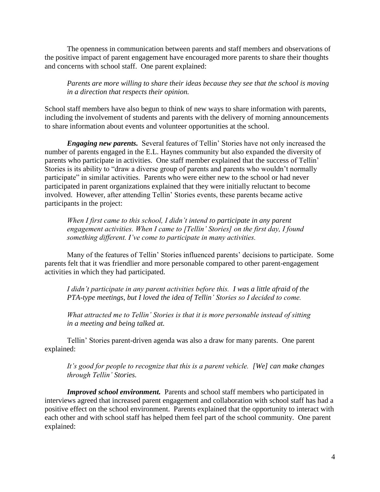The openness in communication between parents and staff members and observations of the positive impact of parent engagement have encouraged more parents to share their thoughts and concerns with school staff. One parent explained:

*Parents are more willing to share their ideas because they see that the school is moving in a direction that respects their opinion.* 

School staff members have also begun to think of new ways to share information with parents, including the involvement of students and parents with the delivery of morning announcements to share information about events and volunteer opportunities at the school.

*Engaging new parents.* Several features of Tellin' Stories have not only increased the number of parents engaged in the E.L. Haynes community but also expanded the diversity of parents who participate in activities. One staff member explained that the success of Tellin' Stories is its ability to "draw a diverse group of parents and parents who wouldn't normally participate" in similar activities. Parents who were either new to the school or had never participated in parent organizations explained that they were initially reluctant to become involved. However, after attending Tellin' Stories events, these parents became active participants in the project:

*When I first came to this school, I didn't intend to participate in any parent engagement activities. When I came to [Tellin' Stories] on the first day, I found something different. I've come to participate in many activities.*

Many of the features of Tellin' Stories influenced parents' decisions to participate. Some parents felt that it was friendlier and more personable compared to other parent-engagement activities in which they had participated.

*I didn't participate in any parent activities before this. I was a little afraid of the PTA-type meetings, but I loved the idea of Tellin' Stories so I decided to come.*

*What attracted me to Tellin' Stories is that it is more personable instead of sitting in a meeting and being talked at.*

Tellin' Stories parent-driven agenda was also a draw for many parents. One parent explained:

*It's good for people to recognize that this is a parent vehicle. [We] can make changes through Tellin' Stories.* 

*Improved school environment.* Parents and school staff members who participated in interviews agreed that increased parent engagement and collaboration with school staff has had a positive effect on the school environment. Parents explained that the opportunity to interact with each other and with school staff has helped them feel part of the school community. One parent explained: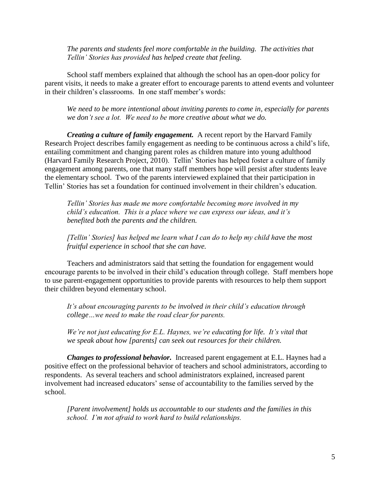*The parents and students feel more comfortable in the building. The activities that Tellin' Stories has provided has helped create that feeling.*

School staff members explained that although the school has an open-door policy for parent visits, it needs to make a greater effort to encourage parents to attend events and volunteer in their children's classrooms. In one staff member's words:

*We need to be more intentional about inviting parents to come in, especially for parents we don't see a lot. We need to be more creative about what we do.*

*Creating a culture of family engagement.* A recent report by the Harvard Family Research Project describes family engagement as needing to be continuous across a child's life, entailing commitment and changing parent roles as children mature into young adulthood (Harvard Family Research Project, 2010). Tellin' Stories has helped foster a culture of family engagement among parents, one that many staff members hope will persist after students leave the elementary school. Two of the parents interviewed explained that their participation in Tellin' Stories has set a foundation for continued involvement in their children's education.

*Tellin' Stories has made me more comfortable becoming more involved in my child's education. This is a place where we can express our ideas, and it's benefited both the parents and the children.*

*[Tellin' Stories] has helped me learn what I can do to help my child have the most fruitful experience in school that she can have.*

Teachers and administrators said that setting the foundation for engagement would encourage parents to be involved in their child's education through college. Staff members hope to use parent-engagement opportunities to provide parents with resources to help them support their children beyond elementary school.

*It's about encouraging parents to be involved in their child's education through college…we need to make the road clear for parents.*

*We're not just educating for E.L. Haynes, we're educating for life. It's vital that we speak about how [parents] can seek out resources for their children.*

*Changes to professional behavior.* Increased parent engagement at E.L. Haynes had a positive effect on the professional behavior of teachers and school administrators, according to respondents. As several teachers and school administrators explained, increased parent involvement had increased educators' sense of accountability to the families served by the school.

*[Parent involvement] holds us accountable to our students and the families in this school. I'm not afraid to work hard to build relationships.*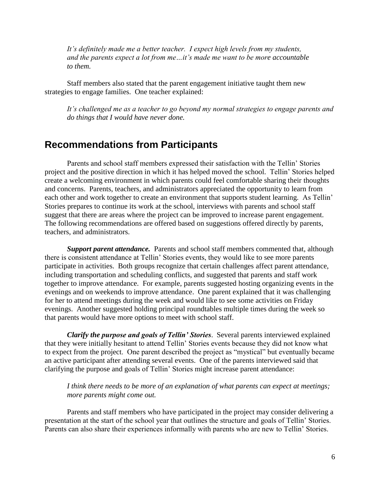*It's definitely made me a better teacher. I expect high levels from my students, and the parents expect a lot from me…it's made me want to be more accountable to them.*

Staff members also stated that the parent engagement initiative taught them new strategies to engage families. One teacher explained:

*It's challenged me as a teacher to go beyond my normal strategies to engage parents and do things that I would have never done.*

### **Recommendations from Participants**

Parents and school staff members expressed their satisfaction with the Tellin' Stories project and the positive direction in which it has helped moved the school. Tellin' Stories helped create a welcoming environment in which parents could feel comfortable sharing their thoughts and concerns. Parents, teachers, and administrators appreciated the opportunity to learn from each other and work together to create an environment that supports student learning. As Tellin' Stories prepares to continue its work at the school, interviews with parents and school staff suggest that there are areas where the project can be improved to increase parent engagement. The following recommendations are offered based on suggestions offered directly by parents, teachers, and administrators.

**Support parent attendance.** Parents and school staff members commented that, although there is consistent attendance at Tellin' Stories events, they would like to see more parents participate in activities. Both groups recognize that certain challenges affect parent attendance, including transportation and scheduling conflicts, and suggested that parents and staff work together to improve attendance. For example, parents suggested hosting organizing events in the evenings and on weekends to improve attendance. One parent explained that it was challenging for her to attend meetings during the week and would like to see some activities on Friday evenings. Another suggested holding principal roundtables multiple times during the week so that parents would have more options to meet with school staff.

*Clarify the purpose and goals of Tellin' Stories*. Several parents interviewed explained that they were initially hesitant to attend Tellin' Stories events because they did not know what to expect from the project. One parent described the project as "mystical" but eventually became an active participant after attending several events. One of the parents interviewed said that clarifying the purpose and goals of Tellin' Stories might increase parent attendance:

*I think there needs to be more of an explanation of what parents can expect at meetings; more parents might come out.*

Parents and staff members who have participated in the project may consider delivering a presentation at the start of the school year that outlines the structure and goals of Tellin' Stories. Parents can also share their experiences informally with parents who are new to Tellin' Stories.